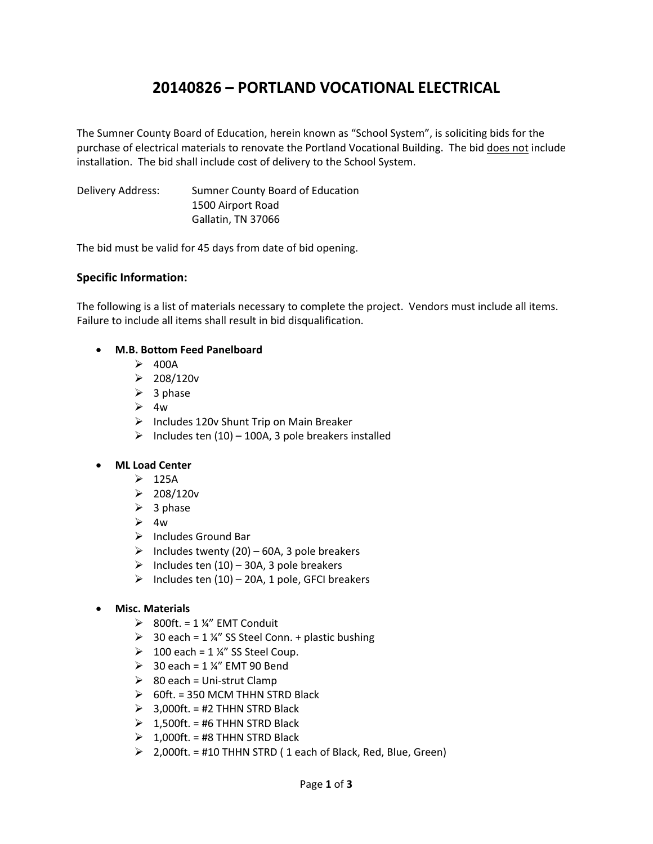# **20140826 – PORTLAND VOCATIONAL ELECTRICAL**

The Sumner County Board of Education, herein known as "School System", is soliciting bids for the purchase of electrical materials to renovate the Portland Vocational Building. The bid does not include installation. The bid shall include cost of delivery to the School System.

Delivery Address: Sumner County Board of Education 1500 Airport Road Gallatin, TN 37066

The bid must be valid for 45 days from date of bid opening.

### **Specific Information:**

The following is a list of materials necessary to complete the project. Vendors must include all items. Failure to include all items shall result in bid disqualification.

### **M.B. Bottom Feed Panelboard**

- $\geq$  400A
- $208/120v$
- $\triangleright$  3 phase
- $\geq 4w$
- $\triangleright$  Includes 120v Shunt Trip on Main Breaker
- $\triangleright$  Includes ten (10) 100A, 3 pole breakers installed

### **ML Load Center**

- $\geq$  125A
- $\geq 208/120v$
- $\geq$  3 phase
- $\geq 4w$
- $\triangleright$  Includes Ground Bar
- $\triangleright$  Includes twenty (20) 60A, 3 pole breakers
- $\triangleright$  Includes ten (10) 30A, 3 pole breakers
- $\triangleright$  Includes ten (10) 20A, 1 pole, GFCI breakers

### **Misc. Materials**

- $\geq$  800ft. = 1 ¼" EMT Conduit
- $\geq$  30 each = 1 ¼" SS Steel Conn. + plastic bushing
- $\geq 100$  each = 1 ¼" SS Steel Coup.
- $\geq$  30 each = 1 ¼" EMT 90 Bend
- $\geqslant$  80 each = Uni-strut Clamp
- $\geqslant$  60ft. = 350 MCM THHN STRD Black
- $\geq$  3,000ft. = #2 THHN STRD Black
- $\geq 1,500$ ft. = #6 THHN STRD Black
- $\geq 1,000$ ft. = #8 THHN STRD Black
- $\geq$  2,000ft. = #10 THHN STRD (1 each of Black, Red, Blue, Green)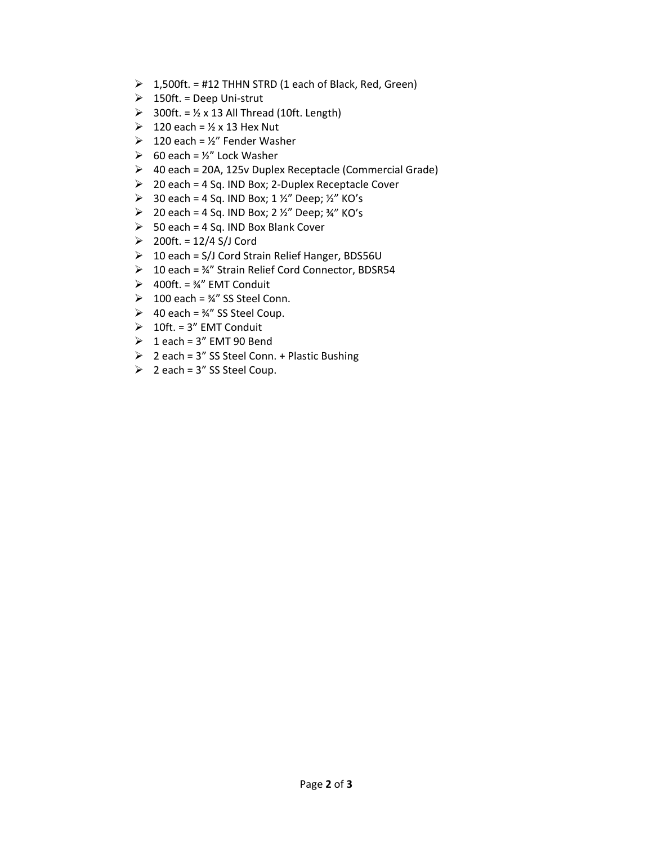- $\geq 1,500$ ft. = #12 THHN STRD (1 each of Black, Red, Green)
- $\geq 150$ ft. = Deep Uni-strut
- $\geq$  300ft. = ½ x 13 All Thread (10ft. Length)
- $\geq 120$  each = ½ x 13 Hex Nut
- $\geq 120$  each = ½" Fender Washer
- $\geq$  60 each = ½" Lock Washer
- 40 each = 20A, 125v Duplex Receptacle (Commercial Grade)
- $\geq$  20 each = 4 Sq. IND Box; 2-Duplex Receptacle Cover
- $\geq$  30 each = 4 Sq. IND Box; 1 ½" Deep; ½" KO's
- $\geq$  20 each = 4 Sq. IND Box; 2 ½" Deep; ¾" KO's
- $>$  50 each = 4 Sq. IND Box Blank Cover
- $\geq 200$ ft. = 12/4 S/J Cord
- $\geq 10$  each = S/J Cord Strain Relief Hanger, BDS56U
- 10 each = ¾" Strain Relief Cord Connector, BDSR54
- $\geq$  400ft. = ¼" EMT Conduit
- $\geq 100$  each =  $\frac{3}{4}$ " SS Steel Conn.
- → 40 each =  $\frac{3}{4}$ " SS Steel Coup.
- $\geq 10$ ft. = 3" EMT Conduit
- $\geq 1$  each = 3" EMT 90 Bend
- $\geq 2$  each = 3" SS Steel Conn. + Plastic Bushing
- $\geq$  2 each = 3" SS Steel Coup.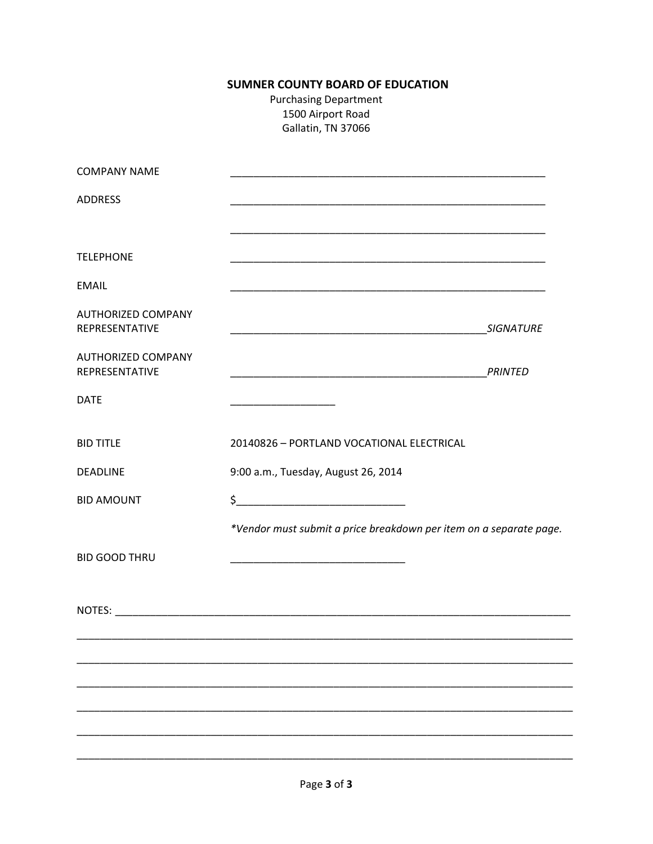# **SUMNER COUNTY BOARD OF EDUCATION**

**Purchasing Department** 1500 Airport Road Gallatin, TN 37066

| <b>COMPANY NAME</b>                         |                                                                    |  |
|---------------------------------------------|--------------------------------------------------------------------|--|
| <b>ADDRESS</b>                              |                                                                    |  |
|                                             |                                                                    |  |
| <b>TELEPHONE</b>                            |                                                                    |  |
| <b>EMAIL</b>                                |                                                                    |  |
| <b>AUTHORIZED COMPANY</b><br>REPRESENTATIVE |                                                                    |  |
| <b>AUTHORIZED COMPANY</b><br>REPRESENTATIVE |                                                                    |  |
| <b>DATE</b>                                 |                                                                    |  |
| <b>BID TITLE</b>                            | 20140826 - PORTLAND VOCATIONAL ELECTRICAL                          |  |
| <b>DEADLINE</b>                             | 9:00 a.m., Tuesday, August 26, 2014                                |  |
| <b>BID AMOUNT</b>                           | $\frac{1}{2}$                                                      |  |
|                                             | *Vendor must submit a price breakdown per item on a separate page. |  |
| <b>BID GOOD THRU</b>                        |                                                                    |  |
|                                             |                                                                    |  |
|                                             |                                                                    |  |
|                                             |                                                                    |  |
|                                             |                                                                    |  |
|                                             |                                                                    |  |
|                                             |                                                                    |  |
|                                             |                                                                    |  |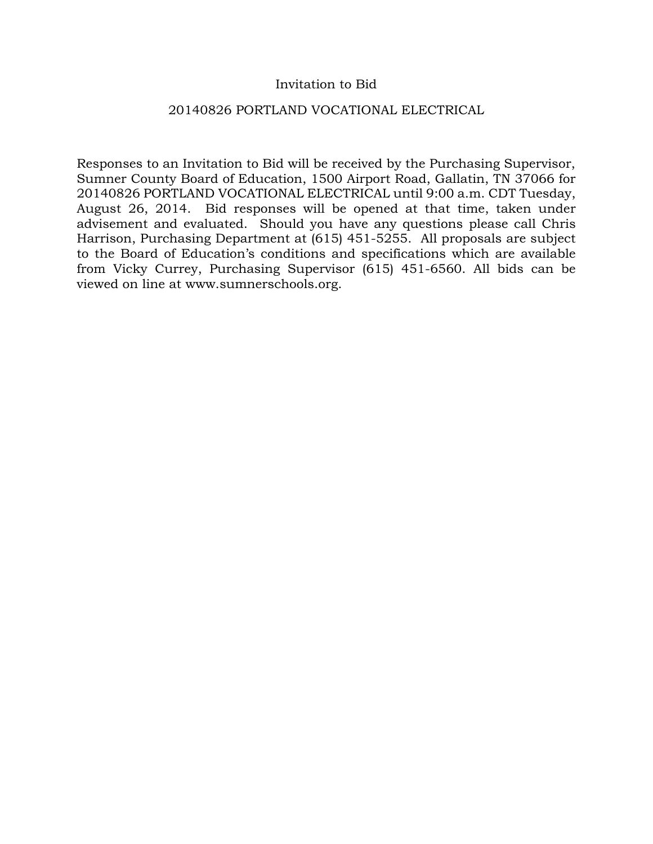## Invitation to Bid

### 20140826 PORTLAND VOCATIONAL ELECTRICAL

Responses to an Invitation to Bid will be received by the Purchasing Supervisor, Sumner County Board of Education, 1500 Airport Road, Gallatin, TN 37066 for 20140826 PORTLAND VOCATIONAL ELECTRICAL until 9:00 a.m. CDT Tuesday, August 26, 2014. Bid responses will be opened at that time, taken under advisement and evaluated. Should you have any questions please call Chris Harrison, Purchasing Department at (615) 451-5255. All proposals are subject to the Board of Education's conditions and specifications which are available from Vicky Currey, Purchasing Supervisor (615) 451-6560. All bids can be viewed on line at www.sumnerschools.org.